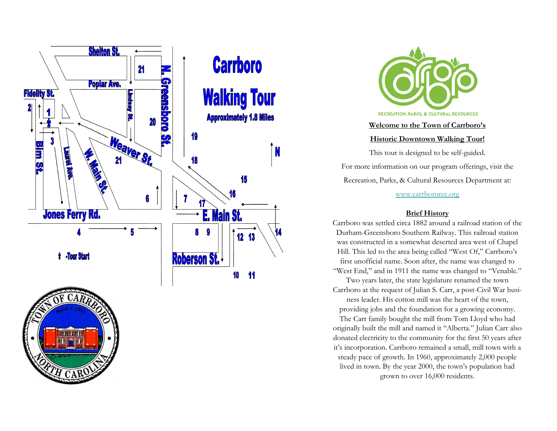

**TANE DE AN IL** 



## **Welcome to the Town of Carrboro's**

**Historic Downtown Walking Tour!** 

This tour is designed to be self-guided. For more information on our program offerings, visit the Recreation, Parks, & Cultural Resources Department at:

www.carrbororec.org

## **Brief History**

Carrboro was settled circa 1882 around a railroad station of the Durham-Greensboro Southern Railway. This railroad station was constructed in a somewhat deserted area west of Chapel Hill. This led to the area being called "West Of," Carrboro's first unofficial name. Soon after, the name was changed to "West End," and in 1911 the name was changed to "Venable."

Two years later, the state legislature renamed the town Carrboro at the request of Julian S. Carr, a post-Civil War busi-

ness leader. His cotton mill was the heart of the town, providing jobs and the foundation for a growing economy.

The Carr family bought the mill from Tom Lloyd who had originally built the mill and named it "Alberta." Julian Carr also donated electricity to the community for the first 50 years after it's incorporation. Carrboro remained a small, mill town with a steady pace of growth. In 1960, approximately 2,000 people lived in town. By the year 2000, the town's population had grown to over 16,000 residents.